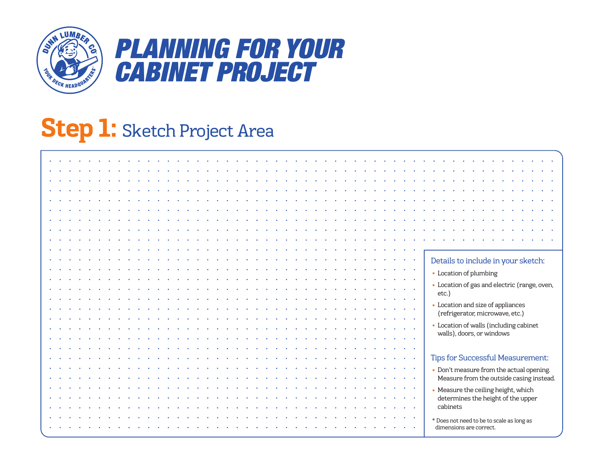

## *PLANNING FOR YOUR CABINET PROJECT*

### **Step 1:** Sketch Project Area

|  |  |  |  |  |  |  |  |  |  |  |  |  |  |  |  | $\langle \bullet \rangle$                  | Details to include in your sketch:                                                   |
|--|--|--|--|--|--|--|--|--|--|--|--|--|--|--|--|--------------------------------------------|--------------------------------------------------------------------------------------|
|  |  |  |  |  |  |  |  |  |  |  |  |  |  |  |  |                                            | • Location of plumbing                                                               |
|  |  |  |  |  |  |  |  |  |  |  |  |  |  |  |  |                                            | • Location of gas and electric (range, oven,                                         |
|  |  |  |  |  |  |  |  |  |  |  |  |  |  |  |  | $\mathbf{a} = \mathbf{a} \cdot \mathbf{a}$ | etc.)                                                                                |
|  |  |  |  |  |  |  |  |  |  |  |  |  |  |  |  |                                            | • Location and size of appliances                                                    |
|  |  |  |  |  |  |  |  |  |  |  |  |  |  |  |  |                                            | (refrigerator, microwave, etc.)                                                      |
|  |  |  |  |  |  |  |  |  |  |  |  |  |  |  |  |                                            | • Location of walls (including cabinet                                               |
|  |  |  |  |  |  |  |  |  |  |  |  |  |  |  |  |                                            | walls), doors, or windows                                                            |
|  |  |  |  |  |  |  |  |  |  |  |  |  |  |  |  |                                            |                                                                                      |
|  |  |  |  |  |  |  |  |  |  |  |  |  |  |  |  | $\sim$                                     | <b>Tips for Successful Measurement:</b>                                              |
|  |  |  |  |  |  |  |  |  |  |  |  |  |  |  |  | $\bullet$                                  |                                                                                      |
|  |  |  |  |  |  |  |  |  |  |  |  |  |  |  |  |                                            | • Don't measure from the actual opening.<br>Measure from the outside casing instead. |
|  |  |  |  |  |  |  |  |  |  |  |  |  |  |  |  | $\sim$                                     |                                                                                      |
|  |  |  |  |  |  |  |  |  |  |  |  |  |  |  |  |                                            | • Measure the ceiling height, which<br>determines the height of the upper            |
|  |  |  |  |  |  |  |  |  |  |  |  |  |  |  |  |                                            | cabinets                                                                             |
|  |  |  |  |  |  |  |  |  |  |  |  |  |  |  |  | $\bullet$                                  |                                                                                      |
|  |  |  |  |  |  |  |  |  |  |  |  |  |  |  |  |                                            | * Does not need to be to scale as long as<br>dimensions are correct.                 |
|  |  |  |  |  |  |  |  |  |  |  |  |  |  |  |  |                                            |                                                                                      |